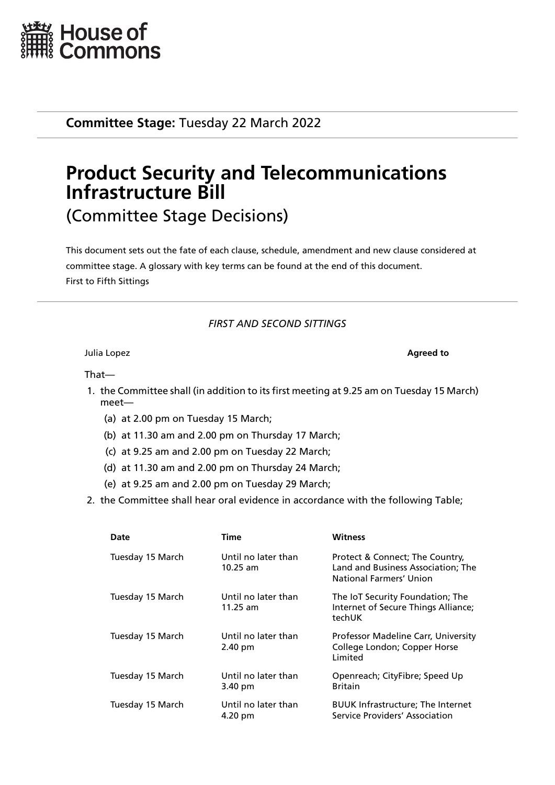

**Committee Stage:** Tuesday 22 March 2022

# **Product Security and Telecommunications Infrastructure Bill** (Committee Stage Decisions)

This document sets out the fate of each clause, schedule, amendment and new clause considered at committee stage. A glossary with key terms can be found at the end of this document. First to Fifth Sittings

# *FIRST AND SECOND SITTINGS*

**Julia Lopez Agreed to** 

That—

- 1. the Committee shall (in addition to its first meeting at 9.25 am on Tuesday 15 March) meet—
	- (a) at 2.00 pm on Tuesday 15 March;
	- (b) at 11.30 am and 2.00 pm on Thursday 17 March;
	- (c) at 9.25 am and 2.00 pm on Tuesday 22 March;
	- (d) at 11.30 am and 2.00 pm on Thursday 24 March;
	- (e) at 9.25 am and 2.00 pm on Tuesday 29 March;
- 2. the Committee shall hear oral evidence in accordance with the following Table;

| Date             | Time                              | <b>Witness</b>                                                                                   |
|------------------|-----------------------------------|--------------------------------------------------------------------------------------------------|
| Tuesday 15 March | Until no later than<br>$10.25$ am | Protect & Connect; The Country,<br>Land and Business Association; The<br>National Farmers' Union |
| Tuesday 15 March | Until no later than<br>$11.25$ am | The IoT Security Foundation; The<br>Internet of Secure Things Alliance;<br>techUK                |
| Tuesday 15 March | Until no later than<br>2.40 pm    | Professor Madeline Carr, University<br>College London; Copper Horse<br>Limited                   |
| Tuesday 15 March | Until no later than<br>3.40 pm    | Openreach; CityFibre; Speed Up<br><b>Britain</b>                                                 |
| Tuesday 15 March | Until no later than<br>4.20 pm    | <b>BUUK Infrastructure; The Internet</b><br>Service Providers' Association                       |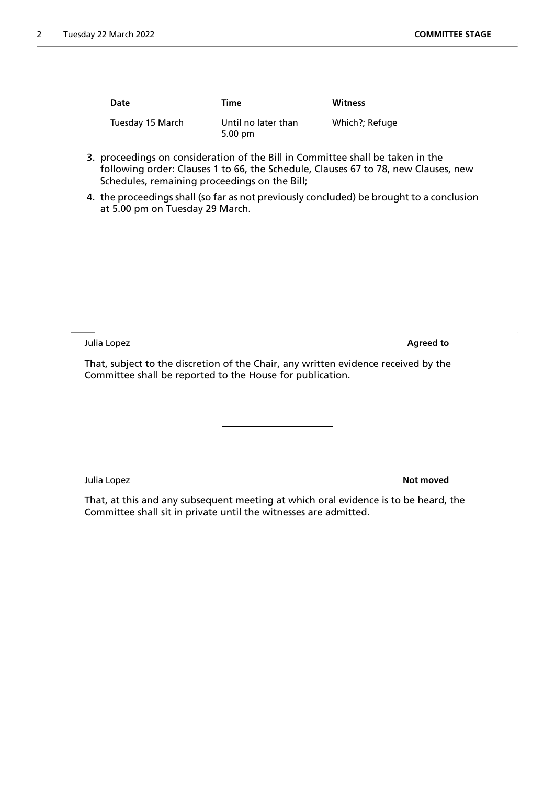| Date             | Time                                     | <b>Witness</b> |
|------------------|------------------------------------------|----------------|
| Tuesday 15 March | Until no later than<br>$5.00 \text{ pm}$ | Which?; Refuge |

- 3. proceedings on consideration of the Bill in Committee shall be taken in the following order: Clauses 1 to 66, the Schedule, Clauses 67 to 78, new Clauses, new Schedules, remaining proceedings on the Bill;
- 4. the proceedings shall (so far as not previously concluded) be brought to a conclusion at 5.00 pm on Tuesday 29 March.

Julia Lopez **Agreed to**

That, subject to the discretion of the Chair, any written evidence received by the Committee shall be reported to the House for publication.

Julia Lopez **Not moved**

That, at this and any subsequent meeting at which oral evidence is to be heard, the Committee shall sit in private until the witnesses are admitted.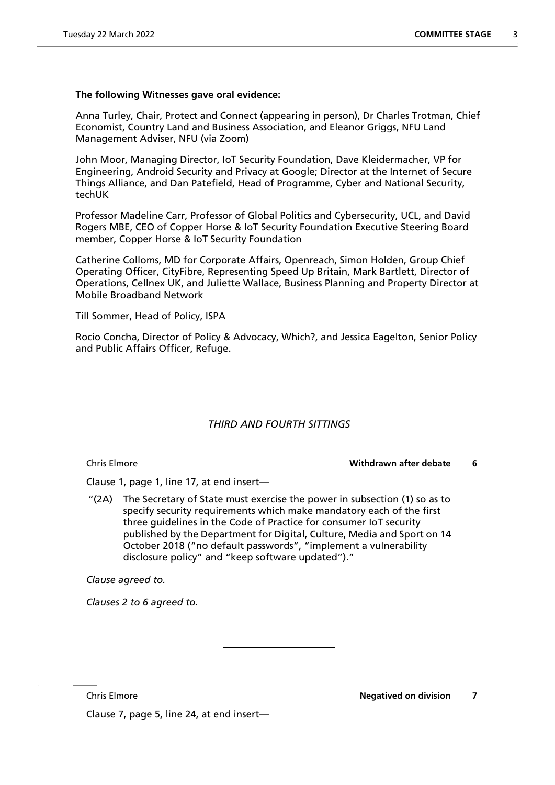### **The following Witnesses gave oral evidence:**

Anna Turley, Chair, Protect and Connect (appearing in person), Dr Charles Trotman, Chief Economist, Country Land and Business Association, and Eleanor Griggs, NFU Land Management Adviser, NFU (via Zoom)

John Moor, Managing Director, IoT Security Foundation, Dave Kleidermacher, VP for Engineering, Android Security and Privacy at Google; Director at the Internet of Secure Things Alliance, and Dan Patefield, Head of Programme, Cyber and National Security, techUK

Professor Madeline Carr, Professor of Global Politics and Cybersecurity, UCL, and David Rogers MBE, CEO of Copper Horse & IoT Security Foundation Executive Steering Board member, Copper Horse & IoT Security Foundation

Catherine Colloms, MD for Corporate Affairs, Openreach, Simon Holden, Group Chief Operating Officer, CityFibre, Representing Speed Up Britain, Mark Bartlett, Director of Operations, Cellnex UK, and Juliette Wallace, Business Planning and Property Director at Mobile Broadband Network

Till Sommer, Head of Policy, ISPA

Rocio Concha, Director of Policy & Advocacy, Which?, and Jessica Eagelton, Senior Policy and Public Affairs Officer, Refuge.

*THIRD AND FOURTH SITTINGS*

Chris Elmore **Withdrawn after debate 6**

Clause 1, page 1, line 17, at end insert—

"(2A) The Secretary of State must exercise the power in subsection (1) so as to specify security requirements which make mandatory each of the first three guidelines in the Code of Practice for consumer IoT security published by the Department for Digital, Culture, Media and Sport on 14 October 2018 ("no default passwords", "implement a vulnerability disclosure policy" and "keep software updated")."

*Clause agreed to.*

*Clauses 2 to 6 agreed to.*

Clause 7, page 5, line 24, at end insert—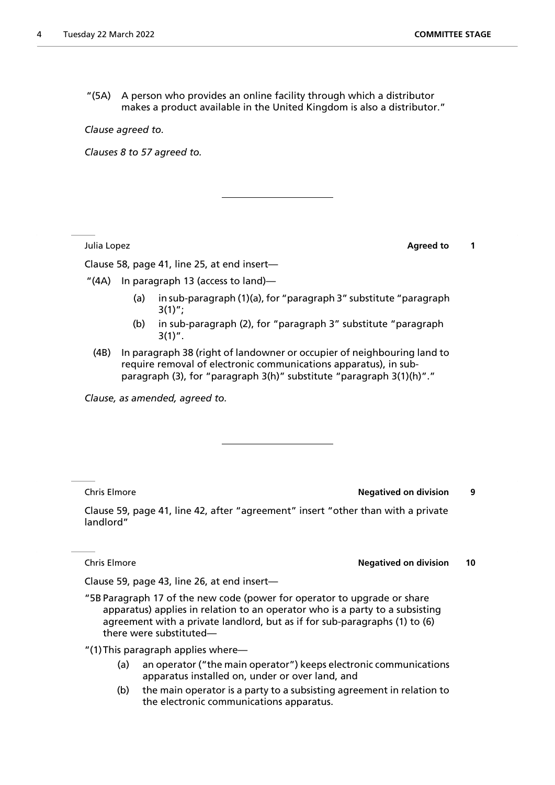"(5A) A person who provides an online facility through which a distributor makes a product available in the United Kingdom is also a distributor."

*Clause agreed to.*

*Clauses 8 to 57 agreed to.*

**Julia Lopez Agreed to 1** 

Clause 58, page 41, line 25, at end insert—

"(4A) In paragraph 13 (access to land)—

- (a) in sub-paragraph (1)(a), for "paragraph 3" substitute "paragraph  $3(1)$ ";
- (b) in sub-paragraph (2), for "paragraph 3" substitute "paragraph  $3(1)$ ".
- (4B) In paragraph 38 (right of landowner or occupier of neighbouring land to require removal of electronic communications apparatus), in subparagraph (3), for "paragraph 3(h)" substitute "paragraph 3(1)(h)"."

*Clause, as amended, agreed to.*

Chris Elmore **Negatived on division 9**

Clause 59, page 41, line 42, after "agreement" insert "other than with a private landlord"

**Chris Elmore Negatived on division 10** 

Clause 59, page 43, line 26, at end insert—

"5B Paragraph 17 of the new code (power for operator to upgrade or share apparatus) applies in relation to an operator who is a party to a subsisting agreement with a private landlord, but as if for sub-paragraphs (1) to (6) there were substituted—

"(1)This paragraph applies where—

- (a) an operator ("the main operator") keeps electronic communications apparatus installed on, under or over land, and
- (b) the main operator is a party to a subsisting agreement in relation to the electronic communications apparatus.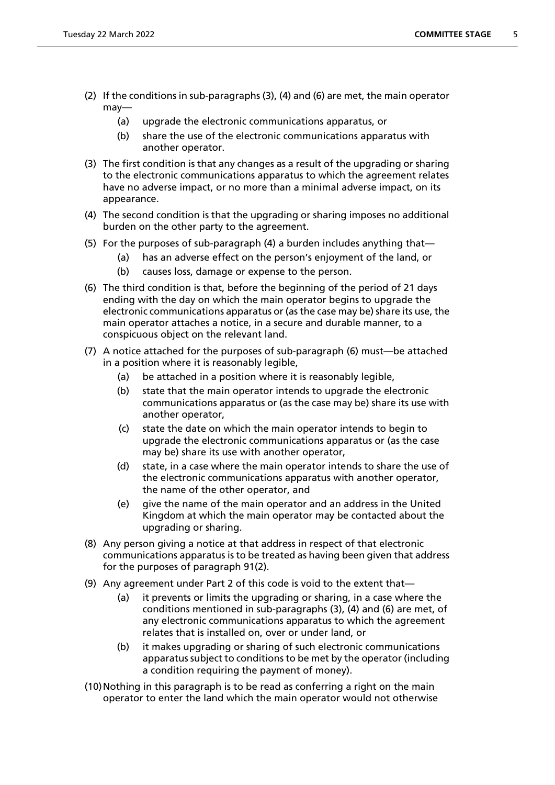- (2) If the conditions in sub-paragraphs (3), (4) and (6) are met, the main operator may—
	- (a) upgrade the electronic communications apparatus, or
	- (b) share the use of the electronic communications apparatus with another operator.
- (3) The first condition is that any changes as a result of the upgrading or sharing to the electronic communications apparatus to which the agreement relates have no adverse impact, or no more than a minimal adverse impact, on its appearance.
- (4) The second condition is that the upgrading or sharing imposes no additional burden on the other party to the agreement.
- (5) For the purposes of sub-paragraph (4) a burden includes anything that—
	- (a) has an adverse effect on the person's enjoyment of the land, or
	- (b) causes loss, damage or expense to the person.
- (6) The third condition is that, before the beginning of the period of 21 days ending with the day on which the main operator begins to upgrade the electronic communications apparatus or (as the case may be) share its use, the main operator attaches a notice, in a secure and durable manner, to a conspicuous object on the relevant land.
- (7) A notice attached for the purposes of sub-paragraph (6) must—be attached in a position where it is reasonably legible,
	- (a) be attached in a position where it is reasonably legible,
	- (b) state that the main operator intends to upgrade the electronic communications apparatus or (as the case may be) share its use with another operator,
	- (c) state the date on which the main operator intends to begin to upgrade the electronic communications apparatus or (as the case may be) share its use with another operator,
	- (d) state, in a case where the main operator intends to share the use of the electronic communications apparatus with another operator, the name of the other operator, and
	- (e) give the name of the main operator and an address in the United Kingdom at which the main operator may be contacted about the upgrading or sharing.
- (8) Any person giving a notice at that address in respect of that electronic communications apparatus is to be treated as having been given that address for the purposes of paragraph 91(2).
- (9) Any agreement under Part 2 of this code is void to the extent that—
	- (a) it prevents or limits the upgrading or sharing, in a case where the conditions mentioned in sub-paragraphs (3), (4) and (6) are met, of any electronic communications apparatus to which the agreement relates that is installed on, over or under land, or
	- (b) it makes upgrading or sharing of such electronic communications apparatus subject to conditions to be met by the operator (including a condition requiring the payment of money).
- (10)Nothing in this paragraph is to be read as conferring a right on the main operator to enter the land which the main operator would not otherwise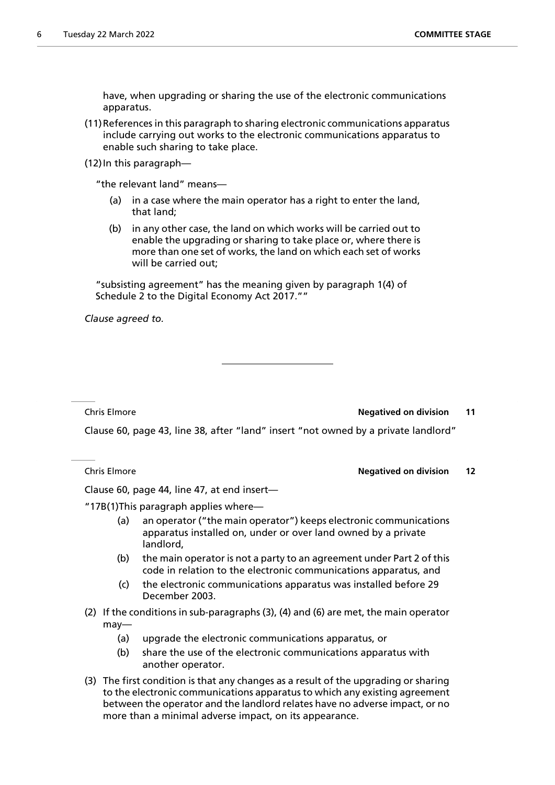have, when upgrading or sharing the use of the electronic communications apparatus.

- (11)References in this paragraph to sharing electronic communications apparatus include carrying out works to the electronic communications apparatus to enable such sharing to take place.
- (12)In this paragraph—

"the relevant land" means—

- (a) in a case where the main operator has a right to enter the land, that land;
- (b) in any other case, the land on which works will be carried out to enable the upgrading or sharing to take place or, where there is more than one set of works, the land on which each set of works will be carried out;

"subsisting agreement" has the meaning given by paragraph 1(4) of Schedule 2 to the Digital Economy Act 2017.""

*Clause agreed to.*

#### **Chris Elmore Negatived on division 11**

Clause 60, page 43, line 38, after "land" insert "not owned by a private landlord"

#### Chris Elmore **Negatived on division 12**

Clause 60, page 44, line 47, at end insert—

"17B(1)This paragraph applies where—

- (a) an operator ("the main operator") keeps electronic communications apparatus installed on, under or over land owned by a private landlord,
- (b) the main operator is not a party to an agreement under Part 2 of this code in relation to the electronic communications apparatus, and
- (c) the electronic communications apparatus was installed before 29 December 2003.
- (2) If the conditions in sub-paragraphs (3), (4) and (6) are met, the main operator may—
	- (a) upgrade the electronic communications apparatus, or
	- (b) share the use of the electronic communications apparatus with another operator.
- (3) The first condition is that any changes as a result of the upgrading or sharing to the electronic communications apparatus to which any existing agreement between the operator and the landlord relates have no adverse impact, or no more than a minimal adverse impact, on its appearance.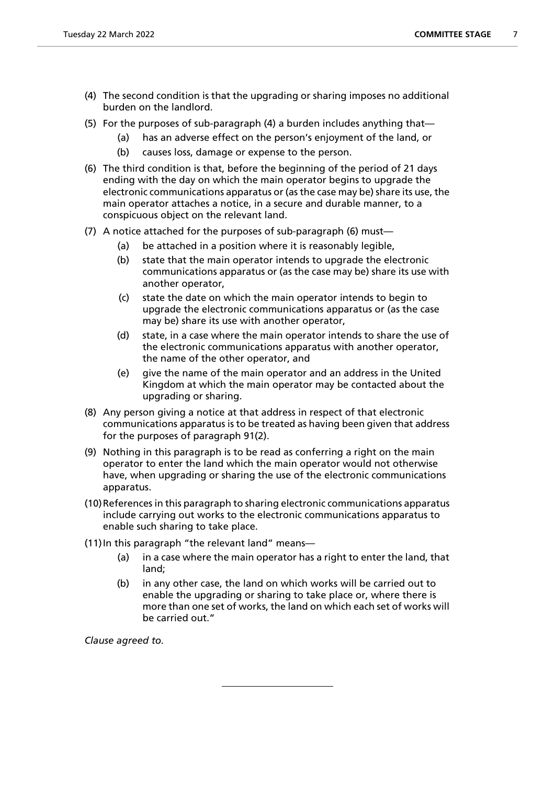- (4) The second condition is that the upgrading or sharing imposes no additional burden on the landlord.
- (5) For the purposes of sub-paragraph (4) a burden includes anything that—
	- (a) has an adverse effect on the person's enjoyment of the land, or
	- (b) causes loss, damage or expense to the person.
- (6) The third condition is that, before the beginning of the period of 21 days ending with the day on which the main operator begins to upgrade the electronic communications apparatus or (as the case may be) share its use, the main operator attaches a notice, in a secure and durable manner, to a conspicuous object on the relevant land.
- (7) A notice attached for the purposes of sub-paragraph (6) must—
	- (a) be attached in a position where it is reasonably legible,
	- (b) state that the main operator intends to upgrade the electronic communications apparatus or (as the case may be) share its use with another operator,
	- (c) state the date on which the main operator intends to begin to upgrade the electronic communications apparatus or (as the case may be) share its use with another operator,
	- (d) state, in a case where the main operator intends to share the use of the electronic communications apparatus with another operator, the name of the other operator, and
	- (e) give the name of the main operator and an address in the United Kingdom at which the main operator may be contacted about the upgrading or sharing.
- (8) Any person giving a notice at that address in respect of that electronic communications apparatus is to be treated as having been given that address for the purposes of paragraph 91(2).
- (9) Nothing in this paragraph is to be read as conferring a right on the main operator to enter the land which the main operator would not otherwise have, when upgrading or sharing the use of the electronic communications apparatus.
- (10)References in this paragraph to sharing electronic communications apparatus include carrying out works to the electronic communications apparatus to enable such sharing to take place.
- (11)In this paragraph "the relevant land" means—
	- (a) in a case where the main operator has a right to enter the land, that land;
	- (b) in any other case, the land on which works will be carried out to enable the upgrading or sharing to take place or, where there is more than one set of works, the land on which each set of works will be carried out."

*Clause agreed to.*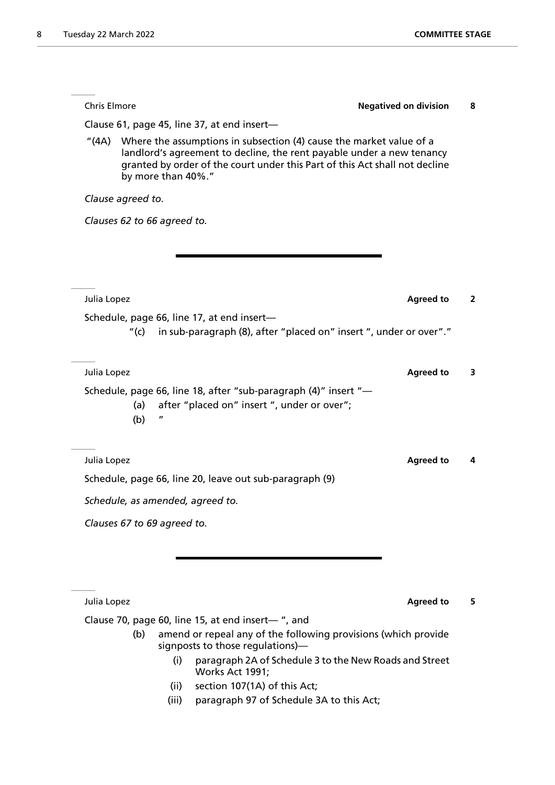| <b>Chris Elmore</b> |                                                                                                                                                                                                                                                   | <b>Negatived on division</b> | 8            |
|---------------------|---------------------------------------------------------------------------------------------------------------------------------------------------------------------------------------------------------------------------------------------------|------------------------------|--------------|
|                     | Clause 61, page 45, line 37, at end insert-                                                                                                                                                                                                       |                              |              |
| "(4A)               | Where the assumptions in subsection (4) cause the market value of a<br>landlord's agreement to decline, the rent payable under a new tenancy<br>granted by order of the court under this Part of this Act shall not decline<br>by more than 40%." |                              |              |
| Clause agreed to.   |                                                                                                                                                                                                                                                   |                              |              |
|                     | Clauses 62 to 66 agreed to.                                                                                                                                                                                                                       |                              |              |
|                     |                                                                                                                                                                                                                                                   |                              |              |
|                     |                                                                                                                                                                                                                                                   |                              |              |
|                     |                                                                                                                                                                                                                                                   |                              |              |
| Julia Lopez         |                                                                                                                                                                                                                                                   | <b>Agreed to</b>             | $\mathbf{2}$ |
|                     | Schedule, page 66, line 17, at end insert-<br>in sub-paragraph (8), after "placed on" insert ", under or over"."<br>"(c)                                                                                                                          |                              |              |
| Julia Lopez         |                                                                                                                                                                                                                                                   | <b>Agreed to</b>             | 3            |
|                     | Schedule, page 66, line 18, after "sub-paragraph (4)" insert "-<br>after "placed on" insert ", under or over";<br>(a)<br>(b)                                                                                                                      |                              |              |
| Julia Lopez         |                                                                                                                                                                                                                                                   | <b>Agreed to</b>             | 4            |
|                     | Schedule, page 66, line 20, leave out sub-paragraph (9)                                                                                                                                                                                           |                              |              |
|                     | Schedule, as amended, agreed to.                                                                                                                                                                                                                  |                              |              |
|                     | Clauses 67 to 69 agreed to.                                                                                                                                                                                                                       |                              |              |
|                     |                                                                                                                                                                                                                                                   |                              |              |
|                     |                                                                                                                                                                                                                                                   |                              |              |

Julia Lopez **Agreed to** 5

Clause 70, page 60, line 15, at end insert— ", and

- (b) amend or repeal any of the following provisions (which provide signposts to those regulations)—
	- (i) paragraph 2A of Schedule 3 to the New Roads and Street Works Act 1991;
	- (ii) section 107(1A) of this Act;
	- (iii) paragraph 97 of Schedule 3A to this Act;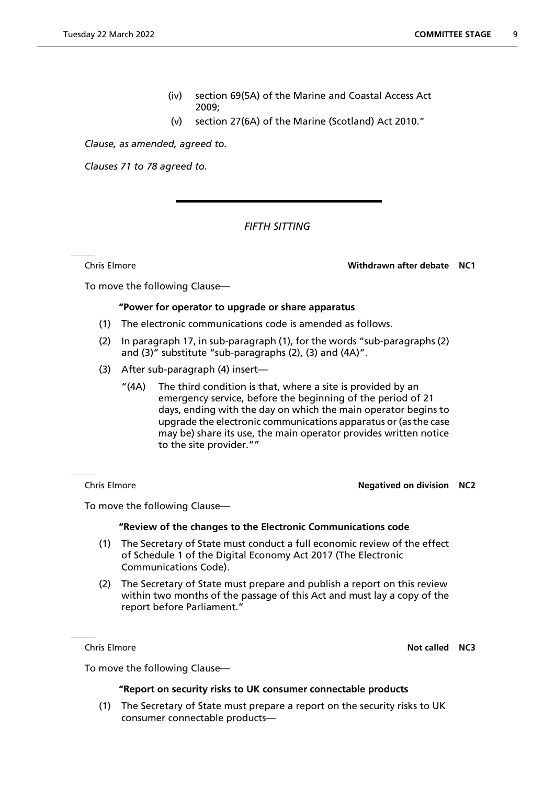- (iv) section 69(5A) of the Marine and Coastal Access Act 2009;
- (v) section 27(6A) of the Marine (Scotland) Act 2010."

*Clause, as amended, agreed to.*

*Clauses 71 to 78 agreed to.*

# *FIFTH SITTING*

Chris Elmore **Withdrawn after debate NC1**

To move the following Clause—

## **"Power for operator to upgrade or share apparatus**

- (1) The electronic communications code is amended as follows.
- (2) In paragraph 17, in sub-paragraph (1), for the words "sub-paragraphs (2) and (3)" substitute "sub-paragraphs (2), (3) and (4A)".
- (3) After sub-paragraph (4) insert—
	- "(4A) The third condition is that, where a site is provided by an emergency service, before the beginning of the period of 21 days, ending with the day on which the main operator begins to upgrade the electronic communications apparatus or (as the case may be) share its use, the main operator provides written notice to the site provider.""

#### Chris Elmore **Negatived on division NC2**

To move the following Clause—

#### **"Review of the changes to the Electronic Communications code**

- (1) The Secretary of State must conduct a full economic review of the effect of Schedule 1 of the Digital Economy Act 2017 (The Electronic Communications Code).
- (2) The Secretary of State must prepare and publish a report on this review within two months of the passage of this Act and must lay a copy of the report before Parliament."

**Chris Elmore Not called NC3** 

To move the following Clause—

#### **"Report on security risks to UK consumer connectable products**

(1) The Secretary of State must prepare a report on the security risks to UK consumer connectable products—